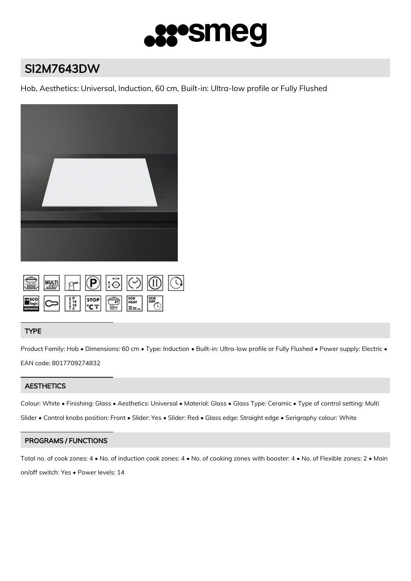

# SI2M7643DW

Hob, Aesthetics: Universal, Induction, 60 cm, Built-in: Ultra-low profile or Fully Flushed



|  |  |  | $\circ$ 0 3 0 0 0 0 |  |
|--|--|--|---------------------|--|
|  |  |  | ိဳက                 |  |

# TYPE

Product Family: Hob • Dimensions: 60 cm • Type: Induction • Built-in: Ultra-low profile or Fully Flushed • Power supply: Electric • EAN code: 8017709274832

# **AESTHETICS**

Colour: White • Finishing: Glass • Aesthetics: Universal • Material: Glass • Glass Type: Ceramic • Type of control setting: Multi Slider • Control knobs position: Front • Slider: Yes • Slider: Red • Glass edge: Straight edge • Serigraphy colour: White

# PROGRAMS / FUNCTIONS

Total no. of cook zones: 4 • No. of induction cook zones: 4 • No. of cooking zones with booster: 4 • No. of Flexible zones: 2 • Main on/off switch: Yes • Power levels: 14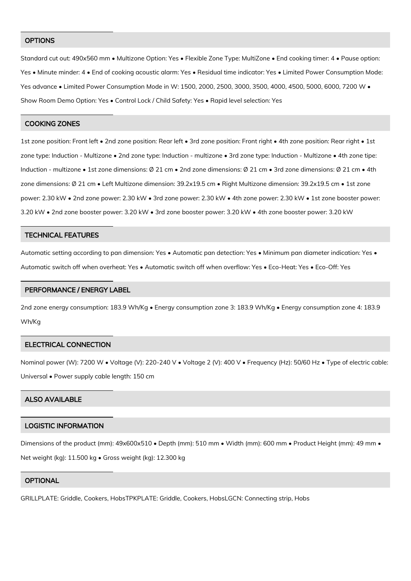#### **OPTIONS**

Standard cut out: 490x560 mm • Multizone Option: Yes • Flexible Zone Type: MultiZone • End cooking timer: 4 • Pause option: Yes • Minute minder: 4 • End of cooking acoustic alarm: Yes • Residual time indicator: Yes • Limited Power Consumption Mode: Yes advance • Limited Power Consumption Mode in W: 1500, 2000, 2500, 3000, 3500, 4000, 4500, 5000, 6000, 7200 W • Show Room Demo Option: Yes • Control Lock / Child Safety: Yes • Rapid level selection: Yes

#### COOKING ZONES

1st zone position: Front left • 2nd zone position: Rear left • 3rd zone position: Front right • 4th zone position: Rear right • 1st zone type: Induction - Multizone • 2nd zone type: Induction - multizone • 3rd zone type: Induction - Multizone • 4th zone tipe: Induction - multizone • 1st zone dimensions: Ø 21 cm • 2nd zone dimensions: Ø 21 cm • 3rd zone dimensions: Ø 21 cm • 4th zone dimensions: Ø 21 cm • Left Multizone dimension: 39.2x19.5 cm • Right Multizone dimension: 39.2x19.5 cm • 1st zone power: 2.30 kW • 2nd zone power: 2.30 kW • 3rd zone power: 2.30 kW • 4th zone power: 2.30 kW • 1st zone booster power: 3.20 kW • 2nd zone booster power: 3.20 kW • 3rd zone booster power: 3.20 kW • 4th zone booster power: 3.20 kW

#### TECHNICAL FEATURES

Automatic setting according to pan dimension: Yes • Automatic pan detection: Yes • Minimum pan diameter indication: Yes • Automatic switch off when overheat: Yes • Automatic switch off when overflow: Yes • Eco-Heat: Yes • Eco-Off: Yes

#### PERFORMANCE / ENERGY LABEL

2nd zone energy consumption: 183.9 Wh/Kg • Energy consumption zone 3: 183.9 Wh/Kg • Energy consumption zone 4: 183.9 Wh/Kg

#### ELECTRICAL CONNECTION

Nominal power (W): 7200 W • Voltage (V): 220-240 V • Voltage 2 (V): 400 V • Frequency (Hz): 50/60 Hz • Type of electric cable: Universal • Power supply cable length: 150 cm

## ALSO AVAILABLE

## LOGISTIC INFORMATION

Dimensions of the product (mm): 49x600x510 • Depth (mm): 510 mm • Width (mm): 600 mm • Product Height (mm): 49 mm • Net weight (kg): 11.500 kg • Gross weight (kg): 12.300 kg

## **OPTIONAL**

GRILLPLATE: Griddle, Cookers, HobsTPKPLATE: Griddle, Cookers, HobsLGCN: Connecting strip, Hobs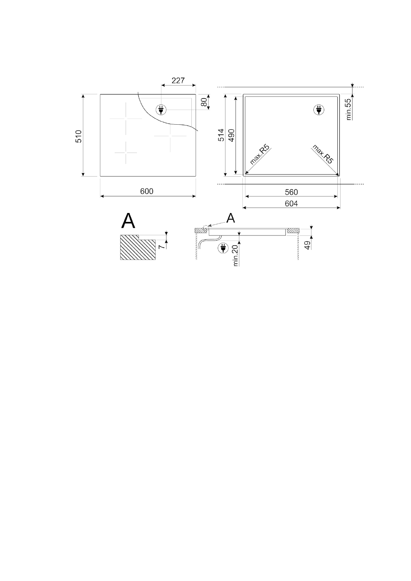